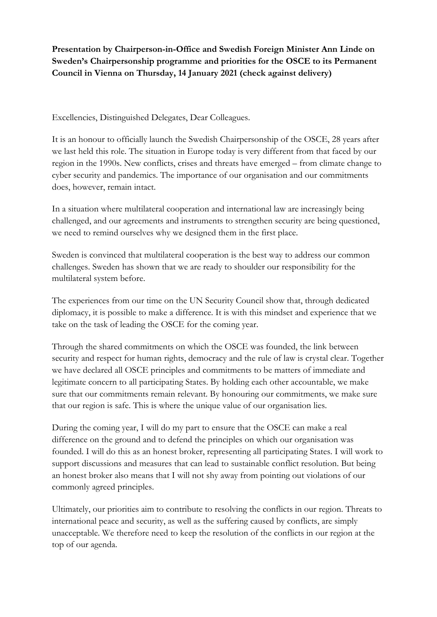**Presentation by Chairperson-in-Office and Swedish Foreign Minister Ann Linde on Sweden's Chairpersonship programme and priorities for the OSCE to its Permanent Council in Vienna on Thursday, 14 January 2021 (check against delivery)**

Excellencies, Distinguished Delegates, Dear Colleagues.

It is an honour to officially launch the Swedish Chairpersonship of the OSCE, 28 years after we last held this role. The situation in Europe today is very different from that faced by our region in the 1990s. New conflicts, crises and threats have emerged – from climate change to cyber security and pandemics. The importance of our organisation and our commitments does, however, remain intact.

In a situation where multilateral cooperation and international law are increasingly being challenged, and our agreements and instruments to strengthen security are being questioned, we need to remind ourselves why we designed them in the first place.

Sweden is convinced that multilateral cooperation is the best way to address our common challenges. Sweden has shown that we are ready to shoulder our responsibility for the multilateral system before.

The experiences from our time on the UN Security Council show that, through dedicated diplomacy, it is possible to make a difference. It is with this mindset and experience that we take on the task of leading the OSCE for the coming year.

Through the shared commitments on which the OSCE was founded, the link between security and respect for human rights, democracy and the rule of law is crystal clear. Together we have declared all OSCE principles and commitments to be matters of immediate and legitimate concern to all participating States. By holding each other accountable, we make sure that our commitments remain relevant. By honouring our commitments, we make sure that our region is safe. This is where the unique value of our organisation lies.

During the coming year, I will do my part to ensure that the OSCE can make a real difference on the ground and to defend the principles on which our organisation was founded. I will do this as an honest broker, representing all participating States. I will work to support discussions and measures that can lead to sustainable conflict resolution. But being an honest broker also means that I will not shy away from pointing out violations of our commonly agreed principles.

Ultimately, our priorities aim to contribute to resolving the conflicts in our region. Threats to international peace and security, as well as the suffering caused by conflicts, are simply unacceptable. We therefore need to keep the resolution of the conflicts in our region at the top of our agenda.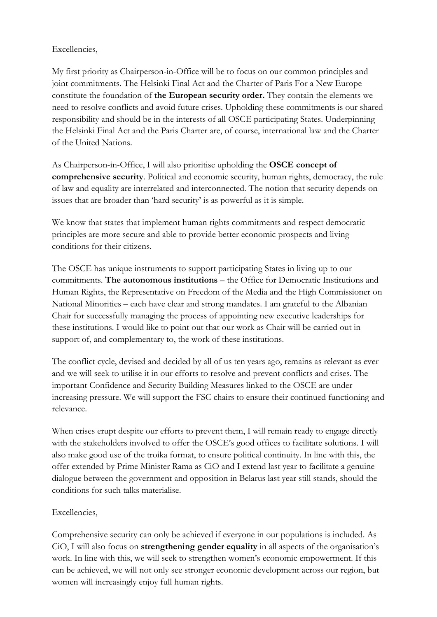### Excellencies,

My first priority as Chairperson-in-Office will be to focus on our common principles and joint commitments. The Helsinki Final Act and the Charter of Paris For a New Europe constitute the foundation of **the European security order.** They contain the elements we need to resolve conflicts and avoid future crises. Upholding these commitments is our shared responsibility and should be in the interests of all OSCE participating States. Underpinning the Helsinki Final Act and the Paris Charter are, of course, international law and the Charter of the United Nations.

As Chairperson-in-Office, I will also prioritise upholding the **OSCE concept of comprehensive security**. Political and economic security, human rights, democracy, the rule of law and equality are interrelated and interconnected. The notion that security depends on issues that are broader than 'hard security' is as powerful as it is simple.

We know that states that implement human rights commitments and respect democratic principles are more secure and able to provide better economic prospects and living conditions for their citizens.

The OSCE has unique instruments to support participating States in living up to our commitments. **The autonomous institutions** – the Office for Democratic Institutions and Human Rights, the Representative on Freedom of the Media and the High Commissioner on National Minorities – each have clear and strong mandates. I am grateful to the Albanian Chair for successfully managing the process of appointing new executive leaderships for these institutions. I would like to point out that our work as Chair will be carried out in support of, and complementary to, the work of these institutions.

The conflict cycle, devised and decided by all of us ten years ago, remains as relevant as ever and we will seek to utilise it in our efforts to resolve and prevent conflicts and crises. The important Confidence and Security Building Measures linked to the OSCE are under increasing pressure. We will support the FSC chairs to ensure their continued functioning and relevance.

When crises erupt despite our efforts to prevent them, I will remain ready to engage directly with the stakeholders involved to offer the OSCE's good offices to facilitate solutions. I will also make good use of the troika format, to ensure political continuity. In line with this, the offer extended by Prime Minister Rama as CiO and I extend last year to facilitate a genuine dialogue between the government and opposition in Belarus last year still stands, should the conditions for such talks materialise.

# Excellencies,

Comprehensive security can only be achieved if everyone in our populations is included. As CiO, I will also focus on **strengthening gender equality** in all aspects of the organisation's work. In line with this, we will seek to strengthen women's economic empowerment. If this can be achieved, we will not only see stronger economic development across our region, but women will increasingly enjoy full human rights.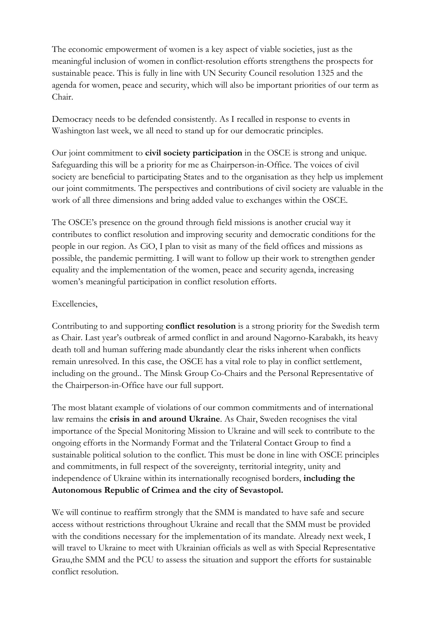The economic empowerment of women is a key aspect of viable societies, just as the meaningful inclusion of women in conflict-resolution efforts strengthens the prospects for sustainable peace. This is fully in line with UN Security Council resolution 1325 and the agenda for women, peace and security, which will also be important priorities of our term as Chair.

Democracy needs to be defended consistently. As I recalled in response to events in Washington last week, we all need to stand up for our democratic principles.

Our joint commitment to **civil society participation** in the OSCE is strong and unique. Safeguarding this will be a priority for me as Chairperson-in-Office. The voices of civil society are beneficial to participating States and to the organisation as they help us implement our joint commitments. The perspectives and contributions of civil society are valuable in the work of all three dimensions and bring added value to exchanges within the OSCE.

The OSCE's presence on the ground through field missions is another crucial way it contributes to conflict resolution and improving security and democratic conditions for the people in our region. As CiO, I plan to visit as many of the field offices and missions as possible, the pandemic permitting. I will want to follow up their work to strengthen gender equality and the implementation of the women, peace and security agenda, increasing women's meaningful participation in conflict resolution efforts.

### Excellencies,

Contributing to and supporting **conflict resolution** is a strong priority for the Swedish term as Chair. Last year's outbreak of armed conflict in and around Nagorno-Karabakh, its heavy death toll and human suffering made abundantly clear the risks inherent when conflicts remain unresolved. In this case, the OSCE has a vital role to play in conflict settlement, including on the ground.. The Minsk Group Co-Chairs and the Personal Representative of the Chairperson-in-Office have our full support.

The most blatant example of violations of our common commitments and of international law remains the **crisis in and around Ukraine**. As Chair, Sweden recognises the vital importance of the Special Monitoring Mission to Ukraine and will seek to contribute to the ongoing efforts in the Normandy Format and the Trilateral Contact Group to find a sustainable political solution to the conflict. This must be done in line with OSCE principles and commitments, in full respect of the sovereignty, territorial integrity, unity and independence of Ukraine within its internationally recognised borders, **including the Autonomous Republic of Crimea and the city of Sevastopol.** 

We will continue to reaffirm strongly that the SMM is mandated to have safe and secure access without restrictions throughout Ukraine and recall that the SMM must be provided with the conditions necessary for the implementation of its mandate. Already next week, I will travel to Ukraine to meet with Ukrainian officials as well as with Special Representative Grau,the SMM and the PCU to assess the situation and support the efforts for sustainable conflict resolution.